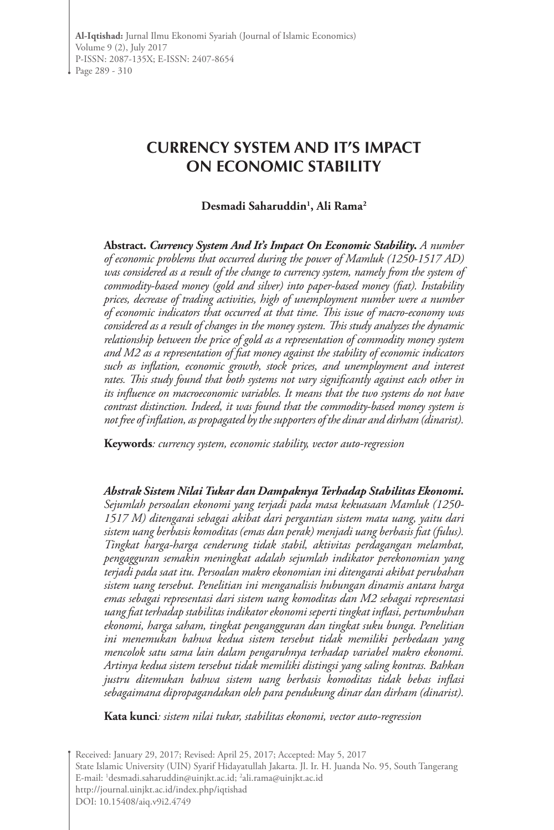# **CURRENCY SYSTEM AND IT'S IMPACT ON ECONOMIC STABILITY**

### **Desmadi Saharuddin1 , Ali Rama2**

**Abstract.** *Currency System And It's Impact On Economic Stability***.** *A number of economic problems that occurred during the power of Mamluk (1250-1517 AD) was considered as a result of the change to currency system, namely from the system of commodity-based money (gold and silver) into paper-based money (fiat). Instability prices, decrease of trading activities, high of unemployment number were a number of economic indicators that occurred at that time. This issue of macro-economy was considered as a result of changes in the money system. This study analyzes the dynamic relationship between the price of gold as a representation of commodity money system and M2 as a representation of fiat money against the stability of economic indicators such as inflation, economic growth, stock prices, and unemployment and interest rates. This study found that both systems not vary significantly against each other in its influence on macroeconomic variables. It means that the two systems do not have contrast distinction. Indeed, it was found that the commodity-based money system is not free of inflation, as propagated by the supporters of the dinar and dirham (dinarist).* 

**Keywords***: currency system, economic stability, vector auto-regression*

*Abstrak Sistem Nilai Tukar dan Dampaknya Terhadap Stabilitas Ekonomi. Sejumlah persoalan ekonomi yang terjadi pada masa kekuasaan Mamluk (1250- 1517 M) ditengarai sebagai akibat dari pergantian sistem mata uang, yaitu dari sistem uang berbasis komoditas (emas dan perak) menjadi uang berbasis fiat (fulus). Tingkat harga-harga cenderung tidak stabil, aktivitas perdagangan melambat, pengagguran semakin meningkat adalah sejumlah indikator perekonomian yang terjadi pada saat itu. Persoalan makro ekonomian ini ditengarai akibat perubahan sistem uang tersebut. Penelitian ini menganalisis hubungan dinamis antara harga emas sebagai representasi dari sistem uang komoditas dan M2 sebagai representasi uang fiat terhadap stabilitas indikator ekonomi seperti tingkat inflasi, pertumbuhan ekonomi, harga saham, tingkat pengangguran dan tingkat suku bunga. Penelitian ini menemukan bahwa kedua sistem tersebut tidak memiliki perbedaan yang mencolok satu sama lain dalam pengaruhnya terhadap variabel makro ekonomi. Artinya kedua sistem tersebut tidak memiliki distingsi yang saling kontras. Bahkan justru ditemukan bahwa sistem uang berbasis komoditas tidak bebas inflasi sebagaimana dipropagandakan oleh para pendukung dinar dan dirham (dinarist).*

**Kata kunci***: sistem nilai tukar, stabilitas ekonomi, vector auto-regression*

Received: January 29, 2017; Revised: April 25, 2017; Accepted: May 5, 2017 State Islamic University (UIN) Syarif Hidayatullah Jakarta. Jl. Ir. H. Juanda No. 95, South Tangerang E-mail: 1 desmadi.saharuddin@uinjkt.ac.id; 2 ali.rama@uinjkt.ac.id http://journal.uinjkt.ac.id/index.php/iqtishad DOI: 10.15408/aiq.v9i2.4749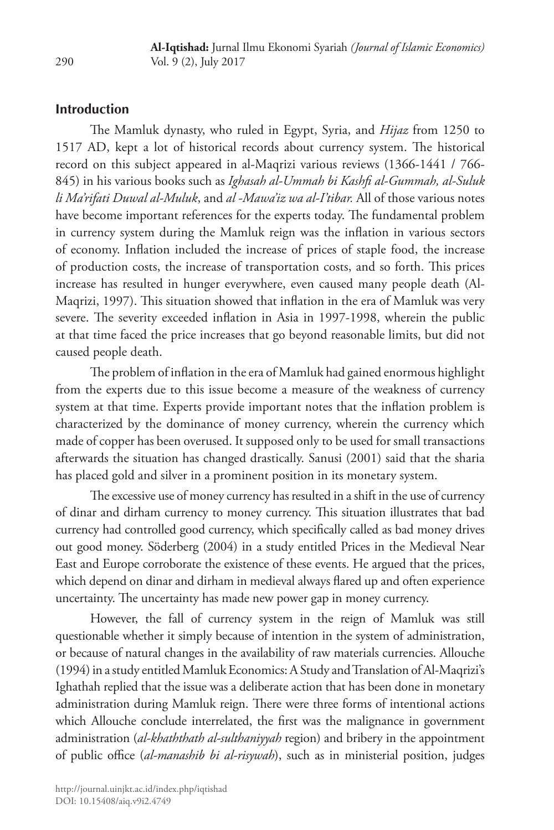## **Introduction**

The Mamluk dynasty, who ruled in Egypt, Syria, and *Hijaz* from 1250 to 1517 AD, kept a lot of historical records about currency system. The historical record on this subject appeared in al-Maqrizi various reviews (1366-1441 / 766- 845) in his various books such as *Ighasah al-Ummah bi Kashfi al-Gummah, al-Suluk li Ma'rifati Duwal al-Muluk*, and *al -Mawa'iz wa al-I'tibar.* All of those various notes have become important references for the experts today. The fundamental problem in currency system during the Mamluk reign was the inflation in various sectors of economy. Inflation included the increase of prices of staple food, the increase of production costs, the increase of transportation costs, and so forth. This prices increase has resulted in hunger everywhere, even caused many people death (Al-Maqrizi, 1997). This situation showed that inflation in the era of Mamluk was very severe. The severity exceeded inflation in Asia in 1997-1998, wherein the public at that time faced the price increases that go beyond reasonable limits, but did not caused people death.

The problem of inflation in the era of Mamluk had gained enormous highlight from the experts due to this issue become a measure of the weakness of currency system at that time. Experts provide important notes that the inflation problem is characterized by the dominance of money currency, wherein the currency which made of copper has been overused. It supposed only to be used for small transactions afterwards the situation has changed drastically. Sanusi (2001) said that the sharia has placed gold and silver in a prominent position in its monetary system.

The excessive use of money currency has resulted in a shift in the use of currency of dinar and dirham currency to money currency. This situation illustrates that bad currency had controlled good currency, which specifically called as bad money drives out good money. Söderberg (2004) in a study entitled Prices in the Medieval Near East and Europe corroborate the existence of these events. He argued that the prices, which depend on dinar and dirham in medieval always flared up and often experience uncertainty. The uncertainty has made new power gap in money currency.

However, the fall of currency system in the reign of Mamluk was still questionable whether it simply because of intention in the system of administration, or because of natural changes in the availability of raw materials currencies. Allouche (1994) in a study entitled Mamluk Economics: A Study and Translation of Al-Maqrizi's Ighathah replied that the issue was a deliberate action that has been done in monetary administration during Mamluk reign. There were three forms of intentional actions which Allouche conclude interrelated, the first was the malignance in government administration (*al-khaththath al-sulthaniyyah* region) and bribery in the appointment of public office (*al-manashib bi al-risywah*), such as in ministerial position, judges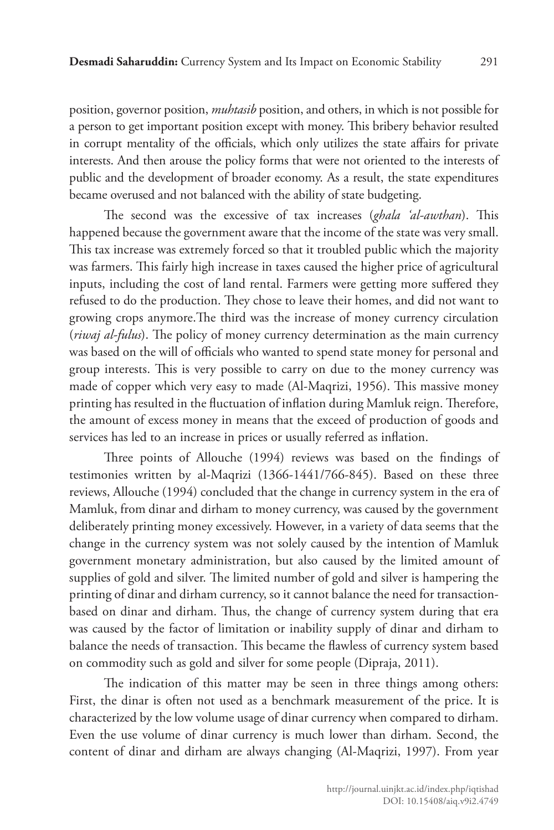position, governor position, *muhtasib* position, and others, in which is not possible for a person to get important position except with money. This bribery behavior resulted in corrupt mentality of the officials, which only utilizes the state affairs for private interests. And then arouse the policy forms that were not oriented to the interests of public and the development of broader economy. As a result, the state expenditures became overused and not balanced with the ability of state budgeting.

The second was the excessive of tax increases (*ghala 'al-awthan*). This happened because the government aware that the income of the state was very small. This tax increase was extremely forced so that it troubled public which the majority was farmers. This fairly high increase in taxes caused the higher price of agricultural inputs, including the cost of land rental. Farmers were getting more suffered they refused to do the production. They chose to leave their homes, and did not want to growing crops anymore.The third was the increase of money currency circulation (*riwaj al-fulus*). The policy of money currency determination as the main currency was based on the will of officials who wanted to spend state money for personal and group interests. This is very possible to carry on due to the money currency was made of copper which very easy to made (Al-Maqrizi, 1956). This massive money printing has resulted in the fluctuation of inflation during Mamluk reign. Therefore, the amount of excess money in means that the exceed of production of goods and services has led to an increase in prices or usually referred as inflation.

Three points of Allouche (1994) reviews was based on the findings of testimonies written by al-Maqrizi (1366-1441/766-845). Based on these three reviews, Allouche (1994) concluded that the change in currency system in the era of Mamluk, from dinar and dirham to money currency, was caused by the government deliberately printing money excessively. However, in a variety of data seems that the change in the currency system was not solely caused by the intention of Mamluk government monetary administration, but also caused by the limited amount of supplies of gold and silver. The limited number of gold and silver is hampering the printing of dinar and dirham currency, so it cannot balance the need for transactionbased on dinar and dirham. Thus, the change of currency system during that era was caused by the factor of limitation or inability supply of dinar and dirham to balance the needs of transaction. This became the flawless of currency system based on commodity such as gold and silver for some people (Dipraja, 2011).

The indication of this matter may be seen in three things among others: First, the dinar is often not used as a benchmark measurement of the price. It is characterized by the low volume usage of dinar currency when compared to dirham. Even the use volume of dinar currency is much lower than dirham. Second, the content of dinar and dirham are always changing (Al-Maqrizi, 1997). From year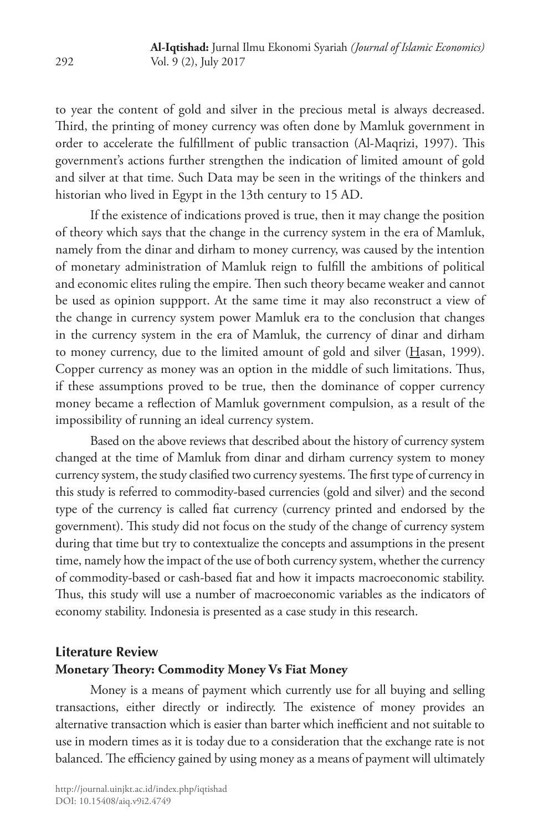to year the content of gold and silver in the precious metal is always decreased. Third, the printing of money currency was often done by Mamluk government in order to accelerate the fulfillment of public transaction (Al-Maqrizi, 1997). This government's actions further strengthen the indication of limited amount of gold and silver at that time. Such Data may be seen in the writings of the thinkers and historian who lived in Egypt in the 13th century to 15 AD.

If the existence of indications proved is true, then it may change the position of theory which says that the change in the currency system in the era of Mamluk, namely from the dinar and dirham to money currency, was caused by the intention of monetary administration of Mamluk reign to fulfill the ambitions of political and economic elites ruling the empire. Then such theory became weaker and cannot be used as opinion suppport. At the same time it may also reconstruct a view of the change in currency system power Mamluk era to the conclusion that changes in the currency system in the era of Mamluk, the currency of dinar and dirham to money currency, due to the limited amount of gold and silver (Hasan, 1999). Copper currency as money was an option in the middle of such limitations. Thus, if these assumptions proved to be true, then the dominance of copper currency money became a reflection of Mamluk government compulsion, as a result of the impossibility of running an ideal currency system.

Based on the above reviews that described about the history of currency system changed at the time of Mamluk from dinar and dirham currency system to money currency system, the study clasified two currency syestems. The first type of currency in this study is referred to commodity-based currencies (gold and silver) and the second type of the currency is called fiat currency (currency printed and endorsed by the government). This study did not focus on the study of the change of currency system during that time but try to contextualize the concepts and assumptions in the present time, namely how the impact of the use of both currency system, whether the currency of commodity-based or cash-based fiat and how it impacts macroeconomic stability. Thus, this study will use a number of macroeconomic variables as the indicators of economy stability. Indonesia is presented as a case study in this research.

# **Literature Review Monetary Theory: Commodity Money Vs Fiat Money**

Money is a means of payment which currently use for all buying and selling transactions, either directly or indirectly. The existence of money provides an alternative transaction which is easier than barter which inefficient and not suitable to use in modern times as it is today due to a consideration that the exchange rate is not balanced. The efficiency gained by using money as a means of payment will ultimately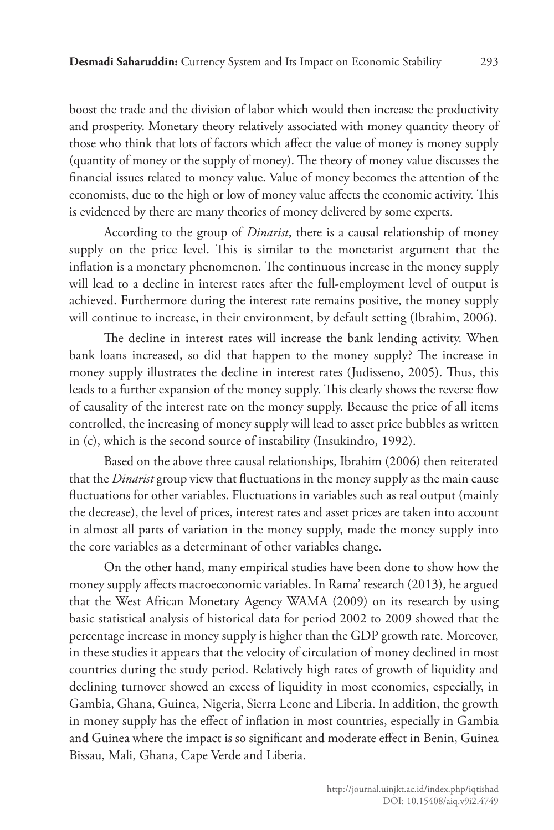boost the trade and the division of labor which would then increase the productivity and prosperity. Monetary theory relatively associated with money quantity theory of those who think that lots of factors which affect the value of money is money supply (quantity of money or the supply of money). The theory of money value discusses the financial issues related to money value. Value of money becomes the attention of the economists, due to the high or low of money value affects the economic activity. This is evidenced by there are many theories of money delivered by some experts.

According to the group of *Dinarist*, there is a causal relationship of money supply on the price level. This is similar to the monetarist argument that the inflation is a monetary phenomenon. The continuous increase in the money supply will lead to a decline in interest rates after the full-employment level of output is achieved. Furthermore during the interest rate remains positive, the money supply will continue to increase, in their environment, by default setting (Ibrahim, 2006).

The decline in interest rates will increase the bank lending activity. When bank loans increased, so did that happen to the money supply? The increase in money supply illustrates the decline in interest rates (Judisseno, 2005). Thus, this leads to a further expansion of the money supply. This clearly shows the reverse flow of causality of the interest rate on the money supply. Because the price of all items controlled, the increasing of money supply will lead to asset price bubbles as written in (c), which is the second source of instability (Insukindro, 1992).

Based on the above three causal relationships, Ibrahim (2006) then reiterated that the *Dinarist* group view that fluctuations in the money supply as the main cause fluctuations for other variables. Fluctuations in variables such as real output (mainly the decrease), the level of prices, interest rates and asset prices are taken into account in almost all parts of variation in the money supply, made the money supply into the core variables as a determinant of other variables change.

On the other hand, many empirical studies have been done to show how the money supply affects macroeconomic variables. In Rama' research (2013), he argued that the West African Monetary Agency WAMA (2009) on its research by using basic statistical analysis of historical data for period 2002 to 2009 showed that the percentage increase in money supply is higher than the GDP growth rate. Moreover, in these studies it appears that the velocity of circulation of money declined in most countries during the study period. Relatively high rates of growth of liquidity and declining turnover showed an excess of liquidity in most economies, especially, in Gambia, Ghana, Guinea, Nigeria, Sierra Leone and Liberia. In addition, the growth in money supply has the effect of inflation in most countries, especially in Gambia and Guinea where the impact is so significant and moderate effect in Benin, Guinea Bissau, Mali, Ghana, Cape Verde and Liberia.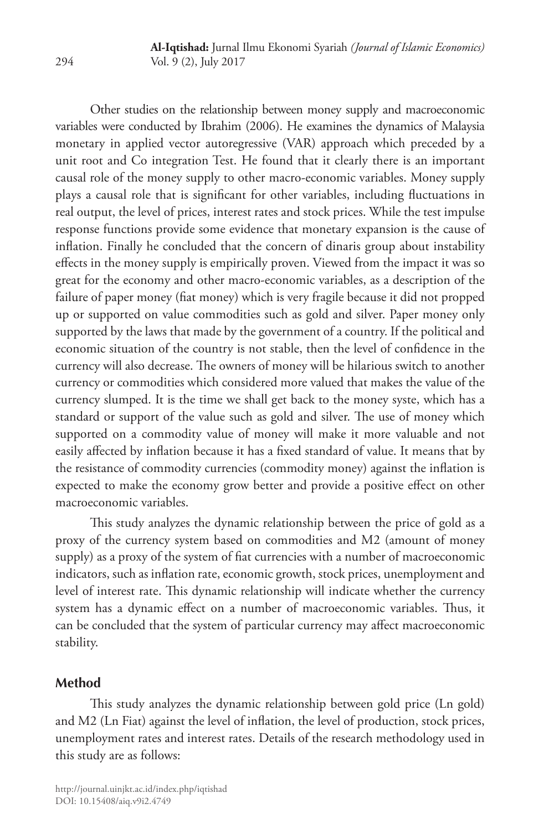Other studies on the relationship between money supply and macroeconomic variables were conducted by Ibrahim (2006). He examines the dynamics of Malaysia monetary in applied vector autoregressive (VAR) approach which preceded by a unit root and Co integration Test. He found that it clearly there is an important causal role of the money supply to other macro-economic variables. Money supply plays a causal role that is significant for other variables, including fluctuations in real output, the level of prices, interest rates and stock prices. While the test impulse response functions provide some evidence that monetary expansion is the cause of inflation. Finally he concluded that the concern of dinaris group about instability effects in the money supply is empirically proven. Viewed from the impact it was so great for the economy and other macro-economic variables, as a description of the failure of paper money (fiat money) which is very fragile because it did not propped up or supported on value commodities such as gold and silver. Paper money only supported by the laws that made by the government of a country. If the political and economic situation of the country is not stable, then the level of confidence in the currency will also decrease. The owners of money will be hilarious switch to another currency or commodities which considered more valued that makes the value of the currency slumped. It is the time we shall get back to the money syste, which has a standard or support of the value such as gold and silver. The use of money which supported on a commodity value of money will make it more valuable and not easily affected by inflation because it has a fixed standard of value. It means that by the resistance of commodity currencies (commodity money) against the inflation is expected to make the economy grow better and provide a positive effect on other macroeconomic variables.

This study analyzes the dynamic relationship between the price of gold as a proxy of the currency system based on commodities and M2 (amount of money supply) as a proxy of the system of fiat currencies with a number of macroeconomic indicators, such as inflation rate, economic growth, stock prices, unemployment and level of interest rate. This dynamic relationship will indicate whether the currency system has a dynamic effect on a number of macroeconomic variables. Thus, it can be concluded that the system of particular currency may affect macroeconomic stability.

### **Method**

This study analyzes the dynamic relationship between gold price (Ln gold) and M2 (Ln Fiat) against the level of inflation, the level of production, stock prices, unemployment rates and interest rates. Details of the research methodology used in this study are as follows: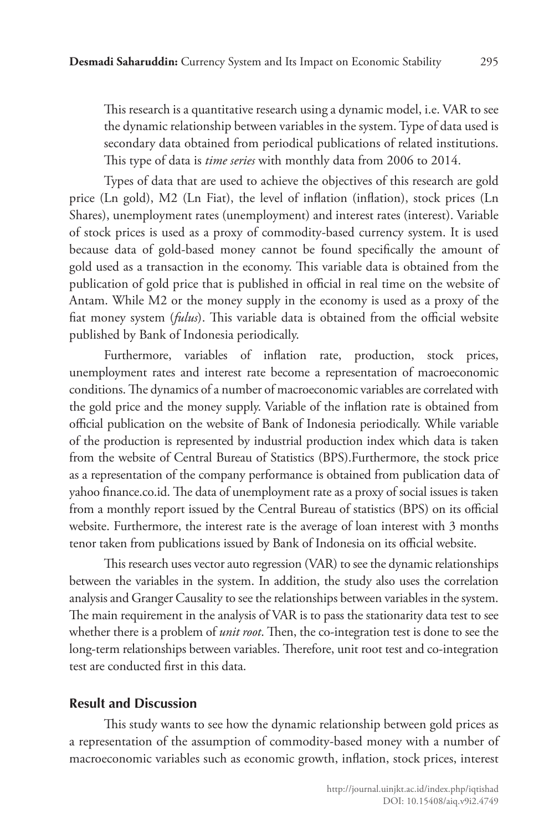This research is a quantitative research using a dynamic model, i.e. VAR to see the dynamic relationship between variables in the system. Type of data used is secondary data obtained from periodical publications of related institutions. This type of data is *time series* with monthly data from 2006 to 2014.

Types of data that are used to achieve the objectives of this research are gold price (Ln gold), M2 (Ln Fiat), the level of inflation (inflation), stock prices (Ln Shares), unemployment rates (unemployment) and interest rates (interest). Variable of stock prices is used as a proxy of commodity-based currency system. It is used because data of gold-based money cannot be found specifically the amount of gold used as a transaction in the economy. This variable data is obtained from the publication of gold price that is published in official in real time on the website of Antam. While M2 or the money supply in the economy is used as a proxy of the fiat money system (*fulus*). This variable data is obtained from the official website published by Bank of Indonesia periodically.

Furthermore, variables of inflation rate, production, stock prices, unemployment rates and interest rate become a representation of macroeconomic conditions. The dynamics of a number of macroeconomic variables are correlated with the gold price and the money supply. Variable of the inflation rate is obtained from official publication on the website of Bank of Indonesia periodically. While variable of the production is represented by industrial production index which data is taken from the website of Central Bureau of Statistics (BPS).Furthermore, the stock price as a representation of the company performance is obtained from publication data of yahoo finance.co.id. The data of unemployment rate as a proxy of social issues is taken from a monthly report issued by the Central Bureau of statistics (BPS) on its official website. Furthermore, the interest rate is the average of loan interest with 3 months tenor taken from publications issued by Bank of Indonesia on its official website.

This research uses vector auto regression (VAR) to see the dynamic relationships between the variables in the system. In addition, the study also uses the correlation analysis and Granger Causality to see the relationships between variables in the system. The main requirement in the analysis of VAR is to pass the stationarity data test to see whether there is a problem of *unit root*. Then, the co-integration test is done to see the long-term relationships between variables. Therefore, unit root test and co-integration test are conducted first in this data.

#### **Result and Discussion**

This study wants to see how the dynamic relationship between gold prices as a representation of the assumption of commodity-based money with a number of macroeconomic variables such as economic growth, inflation, stock prices, interest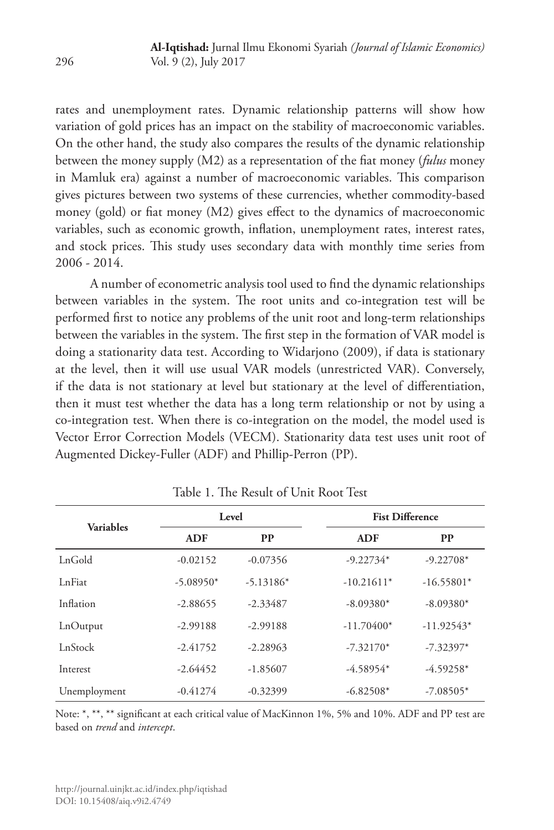rates and unemployment rates. Dynamic relationship patterns will show how variation of gold prices has an impact on the stability of macroeconomic variables. On the other hand, the study also compares the results of the dynamic relationship between the money supply (M2) as a representation of the fiat money (*fulus* money in Mamluk era) against a number of macroeconomic variables. This comparison gives pictures between two systems of these currencies, whether commodity-based money (gold) or fiat money (M2) gives effect to the dynamics of macroeconomic variables, such as economic growth, inflation, unemployment rates, interest rates, and stock prices. This study uses secondary data with monthly time series from 2006 - 2014.

A number of econometric analysis tool used to find the dynamic relationships between variables in the system. The root units and co-integration test will be performed first to notice any problems of the unit root and long-term relationships between the variables in the system. The first step in the formation of VAR model is doing a stationarity data test. According to Widarjono (2009), if data is stationary at the level, then it will use usual VAR models (unrestricted VAR). Conversely, if the data is not stationary at level but stationary at the level of differentiation, then it must test whether the data has a long term relationship or not by using a co-integration test. When there is co-integration on the model, the model used is Vector Error Correction Models (VECM). Stationarity data test uses unit root of Augmented Dickey-Fuller (ADF) and Phillip-Perron (PP).

| <b>Variables</b> |             | Level       | <b>Fist Difference</b> |              |  |
|------------------|-------------|-------------|------------------------|--------------|--|
|                  | <b>ADF</b>  | <b>PP</b>   | <b>ADF</b>             | <b>PP</b>    |  |
| LnGold           | $-0.02152$  | $-0.07356$  | $-9.22734*$            | $-9.22708*$  |  |
| LnFiat           | $-5.08950*$ | $-5.13186*$ | $-10.21611*$           | $-16.55801*$ |  |
| Inflation        | $-2.88655$  | $-2.33487$  | $-8.09380*$            | $-8.09380*$  |  |
| LnOutput         | $-2.99188$  | $-2.99188$  | $-11.70400*$           | $-11.92543*$ |  |
| LnStock          | $-2.41752$  | $-2.28963$  | $-7.32170*$            | $-7.32397*$  |  |
| Interest         | $-2.64452$  | $-1.85607$  | $-4.58954*$            | $-4.59258*$  |  |
| Unemployment     | $-0.41274$  | $-0.32399$  | $-6.82508*$            | $-7.08505*$  |  |

Table 1. The Result of Unit Root Test

Note: \*, \*\*, \*\* significant at each critical value of MacKinnon 1%, 5% and 10%. ADF and PP test are based on *trend* and *intercept*.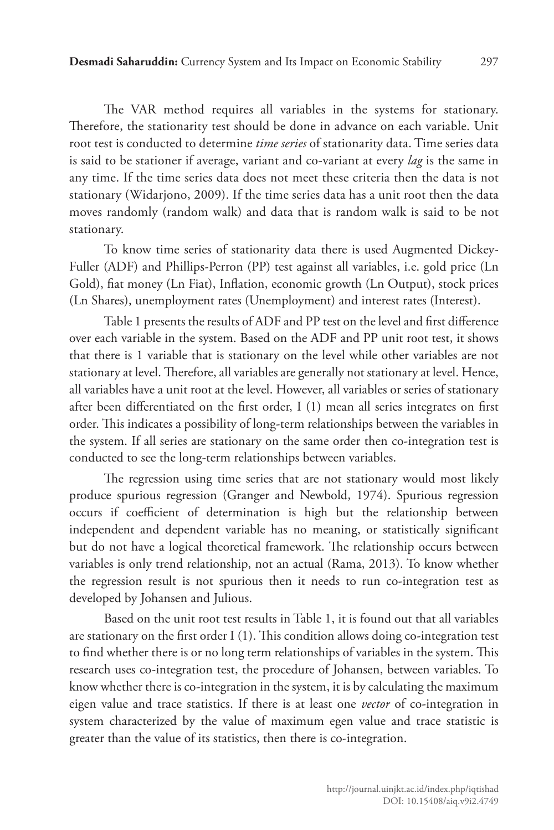The VAR method requires all variables in the systems for stationary. Therefore, the stationarity test should be done in advance on each variable. Unit root test is conducted to determine *time series* of stationarity data. Time series data is said to be stationer if average, variant and co-variant at every *lag* is the same in any time. If the time series data does not meet these criteria then the data is not stationary (Widarjono, 2009). If the time series data has a unit root then the data moves randomly (random walk) and data that is random walk is said to be not stationary.

To know time series of stationarity data there is used Augmented Dickey-Fuller (ADF) and Phillips-Perron (PP) test against all variables, i.e. gold price (Ln Gold), fiat money (Ln Fiat), Inflation, economic growth (Ln Output), stock prices (Ln Shares), unemployment rates (Unemployment) and interest rates (Interest).

Table 1 presents the results of ADF and PP test on the level and first difference over each variable in the system. Based on the ADF and PP unit root test, it shows that there is 1 variable that is stationary on the level while other variables are not stationary at level. Therefore, all variables are generally not stationary at level. Hence, all variables have a unit root at the level. However, all variables or series of stationary after been differentiated on the first order, I (1) mean all series integrates on first order. This indicates a possibility of long-term relationships between the variables in the system. If all series are stationary on the same order then co-integration test is conducted to see the long-term relationships between variables.

The regression using time series that are not stationary would most likely produce spurious regression (Granger and Newbold, 1974). Spurious regression occurs if coefficient of determination is high but the relationship between independent and dependent variable has no meaning, or statistically significant but do not have a logical theoretical framework. The relationship occurs between variables is only trend relationship, not an actual (Rama, 2013). To know whether the regression result is not spurious then it needs to run co-integration test as developed by Johansen and Julious.

Based on the unit root test results in Table 1, it is found out that all variables are stationary on the first order I (1). This condition allows doing co-integration test to find whether there is or no long term relationships of variables in the system. This research uses co-integration test, the procedure of Johansen, between variables. To know whether there is co-integration in the system, it is by calculating the maximum eigen value and trace statistics. If there is at least one *vector* of co-integration in system characterized by the value of maximum egen value and trace statistic is greater than the value of its statistics, then there is co-integration.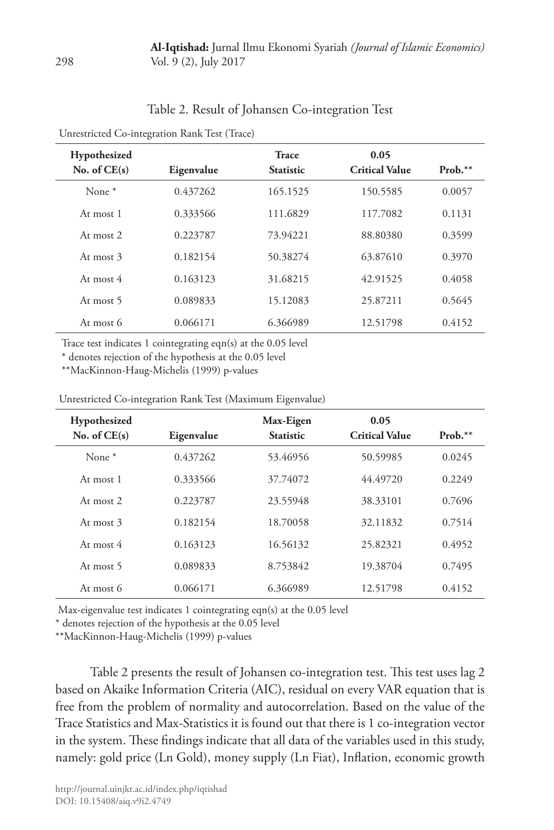| Table 2. Result of Johansen Co-integration Test |  |
|-------------------------------------------------|--|
|-------------------------------------------------|--|

| Hypothesized<br>No. of $CE(s)$ | Eigenvalue | <b>Trace</b><br><b>Statistic</b> | 0.05<br><b>Critical Value</b> | $Prob.**$ |
|--------------------------------|------------|----------------------------------|-------------------------------|-----------|
| None $*$                       | 0.437262   | 165.1525                         | 150.5585                      | 0.0057    |
| At most 1                      | 0.333566   | 111.6829                         | 117.7082                      | 0.1131    |
| At most $2$                    | 0.223787   | 73.94221                         | 88.80380                      | 0.3599    |
| At most 3                      | 0.182154   | 50.38274                         | 63.87610                      | 0.3970    |
| At most $4$                    | 0.163123   | 31.68215                         | 42.91525                      | 0.4058    |
| At most 5                      | 0.089833   | 15.12083                         | 25.87211                      | 0.5645    |
| At most 6                      | 0.066171   | 6.366989                         | 12.51798                      | 0.4152    |
|                                |            |                                  |                               |           |

Unrestricted Co-integration Rank Test (Trace)

Trace test indicates 1 cointegrating eqn(s) at the 0.05 level

\* denotes rejection of the hypothesis at the 0.05 level

\*\*MacKinnon-Haug-Michelis (1999) p-values

| <b>Hypothesized</b> |            | Max-Eigen        | 0.05                  |           |
|---------------------|------------|------------------|-----------------------|-----------|
| No. of $CE(s)$      | Eigenvalue | <b>Statistic</b> | <b>Critical Value</b> | $Prob.**$ |
| None $*$            | 0.437262   | 53.46956         | 50.59985              | 0.0245    |
| At most 1           | 0.333566   | 37.74072         | 44.49720              | 0.2249    |
| At most $2$         | 0.223787   | 23.55948         | 38.33101              | 0.7696    |
| At most $3$         | 0.182154   | 18.70058         | 32.11832              | 0.7514    |
| At most $4$         | 0.163123   | 16.56132         | 25.82321              | 0.4952    |
| At most 5           | 0.089833   | 8.753842         | 19.38704              | 0.7495    |
| At most 6           | 0.066171   | 6.366989         | 12.51798              | 0.4152    |

Unrestricted Co-integration Rank Test (Maximum Eigenvalue)

Max-eigenvalue test indicates 1 cointegrating eqn(s) at the 0.05 level

\* denotes rejection of the hypothesis at the 0.05 level

\*\*MacKinnon-Haug-Michelis (1999) p-values

Table 2 presents the result of Johansen co-integration test. This test uses lag 2 based on Akaike Information Criteria (AIC), residual on every VAR equation that is free from the problem of normality and autocorrelation. Based on the value of the Trace Statistics and Max-Statistics it is found out that there is 1 co-integration vector in the system. These findings indicate that all data of the variables used in this study, namely: gold price (Ln Gold), money supply (Ln Fiat), Inflation, economic growth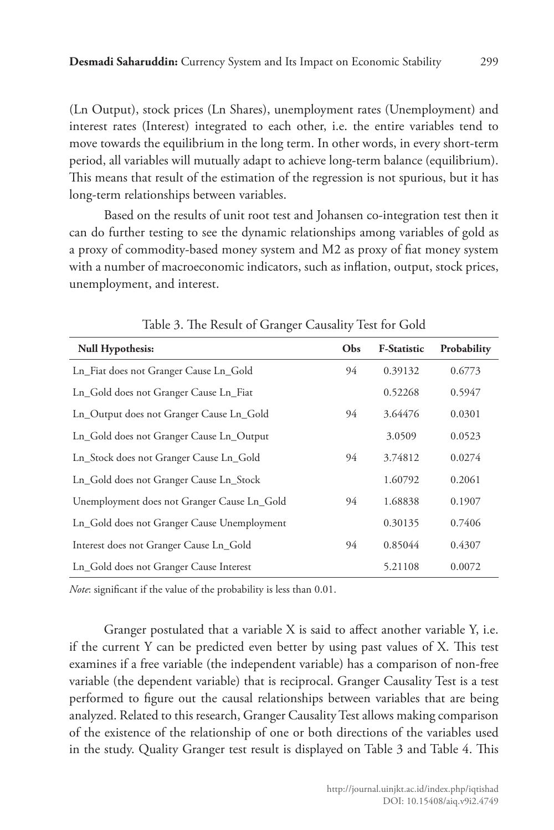(Ln Output), stock prices (Ln Shares), unemployment rates (Unemployment) and interest rates (Interest) integrated to each other, i.e. the entire variables tend to move towards the equilibrium in the long term. In other words, in every short-term period, all variables will mutually adapt to achieve long-term balance (equilibrium). This means that result of the estimation of the regression is not spurious, but it has long-term relationships between variables.

Based on the results of unit root test and Johansen co-integration test then it can do further testing to see the dynamic relationships among variables of gold as a proxy of commodity-based money system and M2 as proxy of fiat money system with a number of macroeconomic indicators, such as inflation, output, stock prices, unemployment, and interest.

| <b>Null Hypothesis:</b>                     | <b>Obs</b> | <b>F-Statistic</b> | Probability |
|---------------------------------------------|------------|--------------------|-------------|
| Ln_Fiat does not Granger Cause Ln_Gold      | 94         | 0.39132            | 0.6773      |
| Ln_Gold does not Granger Cause Ln_Fiat      |            | 0.52268            | 0.5947      |
| Ln_Output does not Granger Cause Ln_Gold    | 94         | 3.64476            | 0.0301      |
| Ln_Gold does not Granger Cause Ln_Output    |            | 3.0509             | 0.0523      |
| Ln_Stock does not Granger Cause Ln_Gold     | 94         | 3.74812            | 0.0274      |
| Ln_Gold does not Granger Cause Ln_Stock     |            | 1.60792            | 0.2061      |
| Unemployment does not Granger Cause Ln_Gold | 94         | 1.68838            | 0.1907      |
| Ln_Gold does not Granger Cause Unemployment |            | 0.30135            | 0.7406      |
| Interest does not Granger Cause Ln_Gold     | 94         | 0.85044            | 0.4307      |
| Ln_Gold does not Granger Cause Interest     |            | 5.21108            | 0.0072      |

Table 3. The Result of Granger Causality Test for Gold

*Note*: significant if the value of the probability is less than 0.01.

Granger postulated that a variable X is said to affect another variable Y, i.e. if the current Y can be predicted even better by using past values of X. This test examines if a free variable (the independent variable) has a comparison of non-free variable (the dependent variable) that is reciprocal. Granger Causality Test is a test performed to figure out the causal relationships between variables that are being analyzed. Related to this research, Granger Causality Test allows making comparison of the existence of the relationship of one or both directions of the variables used in the study. Quality Granger test result is displayed on Table 3 and Table 4. This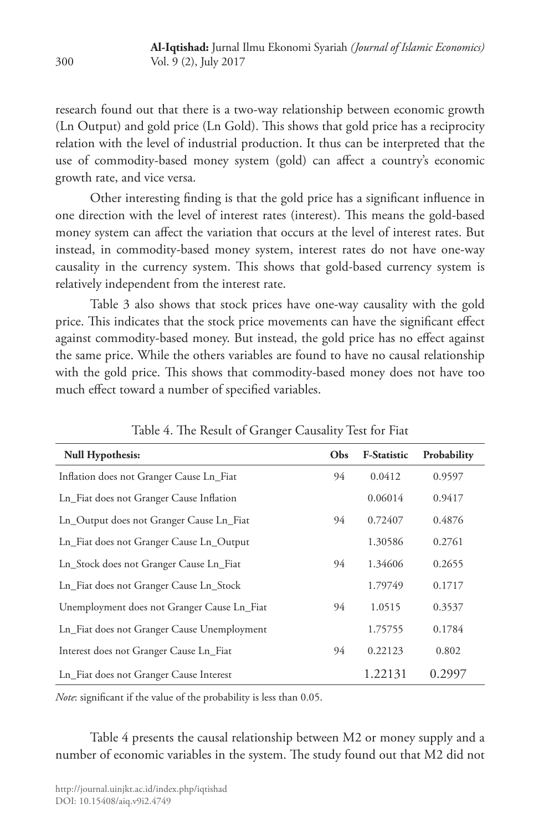research found out that there is a two-way relationship between economic growth (Ln Output) and gold price (Ln Gold). This shows that gold price has a reciprocity relation with the level of industrial production. It thus can be interpreted that the use of commodity-based money system (gold) can affect a country's economic growth rate, and vice versa.

Other interesting finding is that the gold price has a significant influence in one direction with the level of interest rates (interest). This means the gold-based money system can affect the variation that occurs at the level of interest rates. But instead, in commodity-based money system, interest rates do not have one-way causality in the currency system. This shows that gold-based currency system is relatively independent from the interest rate.

Table 3 also shows that stock prices have one-way causality with the gold price. This indicates that the stock price movements can have the significant effect against commodity-based money. But instead, the gold price has no effect against the same price. While the others variables are found to have no causal relationship with the gold price. This shows that commodity-based money does not have too much effect toward a number of specified variables.

| <b>Null Hypothesis:</b>                     | Obs | <b>F-Statistic</b> | Probability |
|---------------------------------------------|-----|--------------------|-------------|
| Inflation does not Granger Cause Ln_Fiat    | 94  | 0.0412             | 0.9597      |
| Ln_Fiat does not Granger Cause Inflation    |     | 0.06014            | 0.9417      |
| Ln_Output does not Granger Cause Ln_Fiat    | 94  | 0.72407            | 0.4876      |
| Ln_Fiat does not Granger Cause Ln_Output    |     | 1.30586            | 0.2761      |
| Ln_Stock does not Granger Cause Ln_Fiat     | 94  | 1.34606            | 0.2655      |
| Ln_Fiat does not Granger Cause Ln_Stock     |     | 1.79749            | 0.1717      |
| Unemployment does not Granger Cause Ln_Fiat | 94  | 1.0515             | 0.3537      |
| Ln_Fiat does not Granger Cause Unemployment |     | 1.75755            | 0.1784      |
| Interest does not Granger Cause Ln_Fiat     | 94  | 0.22123            | 0.802       |
| Ln_Fiat does not Granger Cause Interest     |     | 1.22131            | 0.2997      |

Table 4. The Result of Granger Causality Test for Fiat

*Note*: significant if the value of the probability is less than 0.05.

Table 4 presents the causal relationship between M2 or money supply and a number of economic variables in the system. The study found out that M2 did not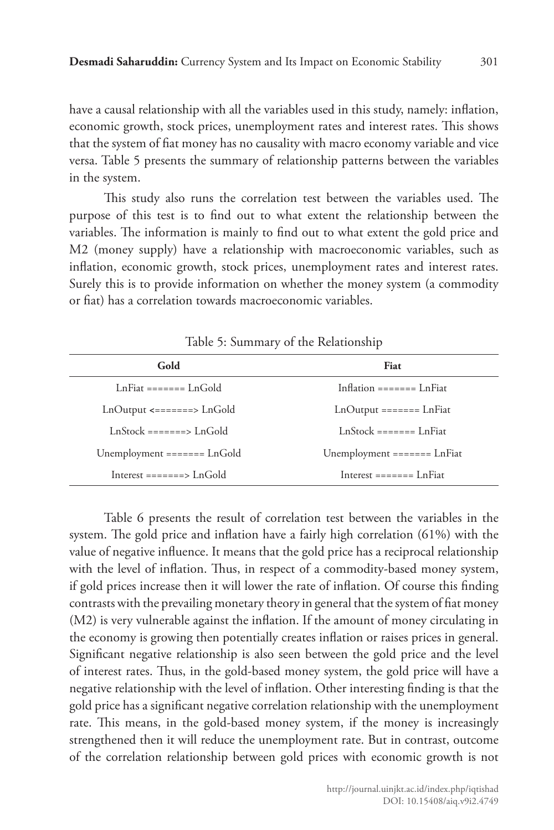have a causal relationship with all the variables used in this study, namely: inflation, economic growth, stock prices, unemployment rates and interest rates. This shows that the system of fiat money has no causality with macro economy variable and vice versa. Table 5 presents the summary of relationship patterns between the variables in the system.

This study also runs the correlation test between the variables used. The purpose of this test is to find out to what extent the relationship between the variables. The information is mainly to find out to what extent the gold price and M2 (money supply) have a relationship with macroeconomic variables, such as inflation, economic growth, stock prices, unemployment rates and interest rates. Surely this is to provide information on whether the money system (a commodity or fiat) has a correlation towards macroeconomic variables.

| Gold                                             | Fiat                                                                           |
|--------------------------------------------------|--------------------------------------------------------------------------------|
| LnFiat ======= LnGold                            | Inflation ======= LnFiat                                                       |
| $LnOutput \le$ =======> $LnGold$                 | $LnOutput = == == = LnFit$                                                     |
| LnStock =======> LnGold                          | LnStock ======= LnFiat                                                         |
| Unemployment ======= $LnGold$                    | Unemployment $=$ $=$ $=$ $=$ $=$ $=$ $\frac{1}{2}$ $\frac{1}{2}$ $\frac{1}{2}$ |
| Interest $=$ $=$ $=$ $=$ $=$ $>$ $\Gamma_n$ Gold | Interest $=$ $=$ $=$ $=$ $=$ $=$ $\blacksquare$ LnFiat                         |

Table 5: Summary of the Relationship

Table 6 presents the result of correlation test between the variables in the system. The gold price and inflation have a fairly high correlation (61%) with the value of negative influence. It means that the gold price has a reciprocal relationship with the level of inflation. Thus, in respect of a commodity-based money system, if gold prices increase then it will lower the rate of inflation. Of course this finding contrasts with the prevailing monetary theory in general that the system of fiat money (M2) is very vulnerable against the inflation. If the amount of money circulating in the economy is growing then potentially creates inflation or raises prices in general. Significant negative relationship is also seen between the gold price and the level of interest rates. Thus, in the gold-based money system, the gold price will have a negative relationship with the level of inflation. Other interesting finding is that the gold price has a significant negative correlation relationship with the unemployment rate. This means, in the gold-based money system, if the money is increasingly strengthened then it will reduce the unemployment rate. But in contrast, outcome of the correlation relationship between gold prices with economic growth is not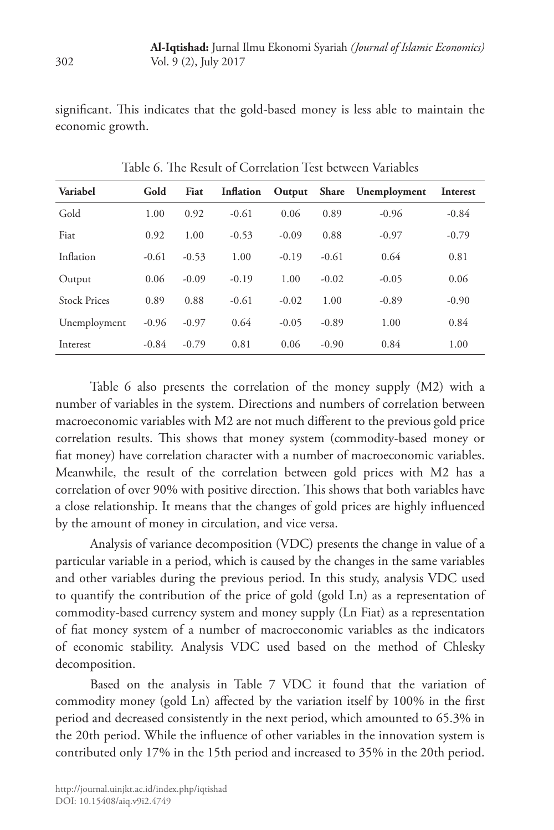significant. This indicates that the gold-based money is less able to maintain the economic growth.

| Variabel            | Gold    | Fiat    | Inflation | Output  |         | Share Unemployment | Interest |
|---------------------|---------|---------|-----------|---------|---------|--------------------|----------|
| Gold                | 1.00    | 0.92    | $-0.61$   | 0.06    | 0.89    | $-0.96$            | $-0.84$  |
| Fiat                | 0.92    | 1.00    | $-0.53$   | $-0.09$ | 0.88    | $-0.97$            | $-0.79$  |
| Inflation           | $-0.61$ | $-0.53$ | 1.00      | $-0.19$ | $-0.61$ | 0.64               | 0.81     |
| Output              | 0.06    | $-0.09$ | $-0.19$   | 1.00    | $-0.02$ | $-0.05$            | 0.06     |
| <b>Stock Prices</b> | 0.89    | 0.88    | $-0.61$   | $-0.02$ | 1.00    | $-0.89$            | $-0.90$  |
| Unemployment        | $-0.96$ | $-0.97$ | 0.64      | $-0.05$ | $-0.89$ | 1.00               | 0.84     |
| Interest            | $-0.84$ | $-0.79$ | 0.81      | 0.06    | $-0.90$ | 0.84               | 1.00     |

Table 6. The Result of Correlation Test between Variables

Table 6 also presents the correlation of the money supply (M2) with a number of variables in the system. Directions and numbers of correlation between macroeconomic variables with M2 are not much different to the previous gold price correlation results. This shows that money system (commodity-based money or fiat money) have correlation character with a number of macroeconomic variables. Meanwhile, the result of the correlation between gold prices with M2 has a correlation of over 90% with positive direction. This shows that both variables have a close relationship. It means that the changes of gold prices are highly influenced by the amount of money in circulation, and vice versa.

Analysis of variance decomposition (VDC) presents the change in value of a particular variable in a period, which is caused by the changes in the same variables and other variables during the previous period. In this study, analysis VDC used to quantify the contribution of the price of gold (gold Ln) as a representation of commodity-based currency system and money supply (Ln Fiat) as a representation of fiat money system of a number of macroeconomic variables as the indicators of economic stability. Analysis VDC used based on the method of Chlesky decomposition.

Based on the analysis in Table 7 VDC it found that the variation of commodity money (gold Ln) affected by the variation itself by 100% in the first period and decreased consistently in the next period, which amounted to 65.3% in the 20th period. While the influence of other variables in the innovation system is contributed only 17% in the 15th period and increased to 35% in the 20th period.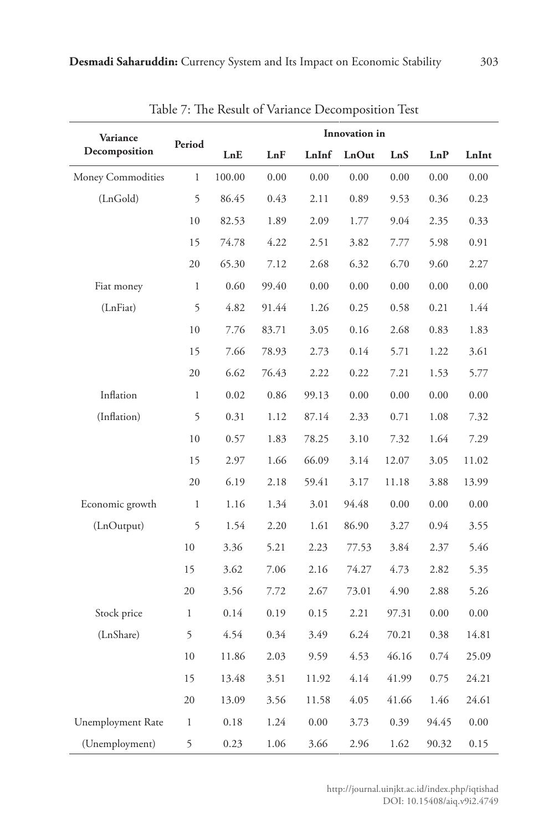| Variance          |              |        | Innovation in |       |       |       |          |       |  |
|-------------------|--------------|--------|---------------|-------|-------|-------|----------|-------|--|
| Decomposition     | Period       | LnE    | LnF           | LnInf | LnOut | LnS   | LnP      | LnInt |  |
| Money Commodities | $\mathbf{1}$ | 100.00 | 0.00          | 0.00  | 0.00  | 0.00  | 0.00     | 0.00  |  |
| (LnGold)          | 5            | 86.45  | 0.43          | 2.11  | 0.89  | 9.53  | 0.36     | 0.23  |  |
|                   | 10           | 82.53  | 1.89          | 2.09  | 1.77  | 9.04  | 2.35     | 0.33  |  |
|                   | 15           | 74.78  | 4.22          | 2.51  | 3.82  | 7.77  | 5.98     | 0.91  |  |
|                   | 20           | 65.30  | 7.12          | 2.68  | 6.32  | 6.70  | 9.60     | 2.27  |  |
| Fiat money        | $\mathbf{1}$ | 0.60   | 99.40         | 0.00  | 0.00  | 0.00  | 0.00     | 0.00  |  |
| (LnFiat)          | 5            | 4.82   | 91.44         | 1.26  | 0.25  | 0.58  | 0.21     | 1.44  |  |
|                   | 10           | 7.76   | 83.71         | 3.05  | 0.16  | 2.68  | 0.83     | 1.83  |  |
|                   | 15           | 7.66   | 78.93         | 2.73  | 0.14  | 5.71  | 1.22     | 3.61  |  |
|                   | 20           | 6.62   | 76.43         | 2.22  | 0.22  | 7.21  | 1.53     | 5.77  |  |
| Inflation         | $\mathbf{1}$ | 0.02   | 0.86          | 99.13 | 0.00  | 0.00  | 0.00     | 0.00  |  |
| (Inflation)       | 5            | 0.31   | 1.12          | 87.14 | 2.33  | 0.71  | 1.08     | 7.32  |  |
|                   | 10           | 0.57   | 1.83          | 78.25 | 3.10  | 7.32  | 1.64     | 7.29  |  |
|                   | 15           | 2.97   | 1.66          | 66.09 | 3.14  | 12.07 | 3.05     | 11.02 |  |
|                   | 20           | 6.19   | 2.18          | 59.41 | 3.17  | 11.18 | 3.88     | 13.99 |  |
| Economic growth   | $\mathbf{1}$ | 1.16   | 1.34          | 3.01  | 94.48 | 0.00  | $0.00\,$ | 0.00  |  |
| (LnOutput)        | 5            | 1.54   | 2.20          | 1.61  | 86.90 | 3.27  | 0.94     | 3.55  |  |
|                   | 10           | 3.36   | 5.21          | 2.23  | 77.53 | 3.84  | 2.37     | 5.46  |  |
|                   | 15           | 3.62   | 7.06          | 2.16  | 74.27 | 4.73  | 2.82     | 5.35  |  |
|                   | 20           | 3.56   | 7.72          | 2.67  | 73.01 | 4.90  | 2.88     | 5.26  |  |
| Stock price       | $\mathbf{1}$ | 0.14   | 0.19          | 0.15  | 2.21  | 97.31 | 0.00     | 0.00  |  |
| (LnShare)         | 5            | 4.54   | 0.34          | 3.49  | 6.24  | 70.21 | 0.38     | 14.81 |  |
|                   | 10           | 11.86  | 2.03          | 9.59  | 4.53  | 46.16 | 0.74     | 25.09 |  |
|                   | 15           | 13.48  | 3.51          | 11.92 | 4.14  | 41.99 | 0.75     | 24.21 |  |
|                   | 20           | 13.09  | 3.56          | 11.58 | 4.05  | 41.66 | 1.46     | 24.61 |  |
| Unemployment Rate | $\mathbf{1}$ | 0.18   | 1.24          | 0.00  | 3.73  | 0.39  | 94.45    | 0.00  |  |
| (Unemployment)    | 5            | 0.23   | 1.06          | 3.66  | 2.96  | 1.62  | 90.32    | 0.15  |  |

Table 7: The Result of Variance Decomposition Test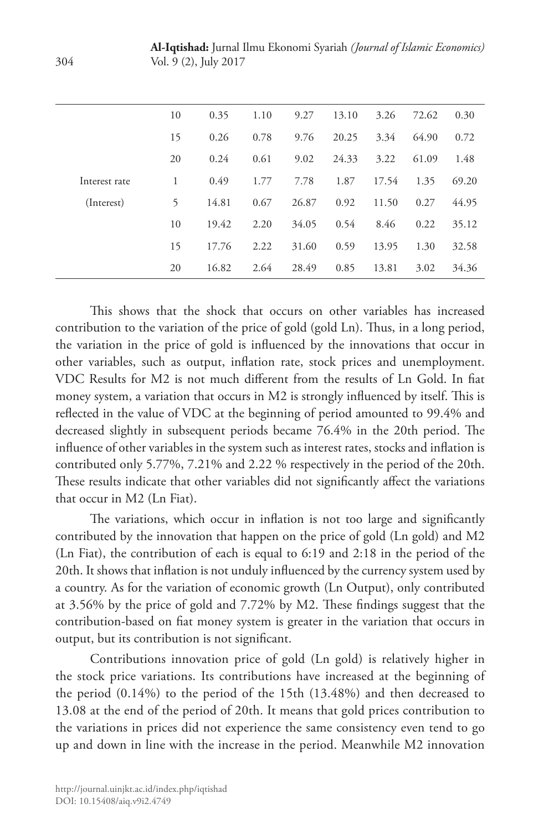**Al-Iqtishad:** Jurnal Ilmu Ekonomi Syariah *(Journal of Islamic Economics)* Vol. 9 (2), July 2017

|               | 10 | 0.35  | 1.10 | 9.27  | 13.10 | 3.26  | 72.62 | 0.30  |
|---------------|----|-------|------|-------|-------|-------|-------|-------|
|               | 15 | 0.26  | 0.78 | 9.76  | 20.25 | 3.34  | 64.90 | 0.72  |
|               | 20 | 0.24  | 0.61 | 9.02  | 24.33 | 3.22  | 61.09 | 1.48  |
| Interest rate | 1  | 0.49  | 1.77 | 7.78  | 1.87  | 17.54 | 1.35  | 69.20 |
| (Interest)    | 5  | 14.81 | 0.67 | 26.87 | 0.92  | 11.50 | 0.27  | 44.95 |
|               | 10 | 19.42 | 2.20 | 34.05 | 0.54  | 8.46  | 0.22  | 35.12 |
|               | 15 | 17.76 | 2.22 | 31.60 | 0.59  | 13.95 | 1.30  | 32.58 |
|               | 20 | 16.82 | 2.64 | 28.49 | 0.85  | 13.81 | 3.02  | 34.36 |
|               |    |       |      |       |       |       |       |       |

This shows that the shock that occurs on other variables has increased contribution to the variation of the price of gold (gold Ln). Thus, in a long period, the variation in the price of gold is influenced by the innovations that occur in other variables, such as output, inflation rate, stock prices and unemployment. VDC Results for M2 is not much different from the results of Ln Gold. In fiat money system, a variation that occurs in M2 is strongly influenced by itself. This is reflected in the value of VDC at the beginning of period amounted to 99.4% and decreased slightly in subsequent periods became 76.4% in the 20th period. The influence of other variables in the system such as interest rates, stocks and inflation is contributed only 5.77%, 7.21% and 2.22 % respectively in the period of the 20th. These results indicate that other variables did not significantly affect the variations that occur in M2 (Ln Fiat).

The variations, which occur in inflation is not too large and significantly contributed by the innovation that happen on the price of gold (Ln gold) and M2 (Ln Fiat), the contribution of each is equal to 6:19 and 2:18 in the period of the 20th. It shows that inflation is not unduly influenced by the currency system used by a country. As for the variation of economic growth (Ln Output), only contributed at 3.56% by the price of gold and 7.72% by M2. These findings suggest that the contribution-based on fiat money system is greater in the variation that occurs in output, but its contribution is not significant.

Contributions innovation price of gold (Ln gold) is relatively higher in the stock price variations. Its contributions have increased at the beginning of the period (0.14%) to the period of the 15th (13.48%) and then decreased to 13.08 at the end of the period of 20th. It means that gold prices contribution to the variations in prices did not experience the same consistency even tend to go up and down in line with the increase in the period. Meanwhile M2 innovation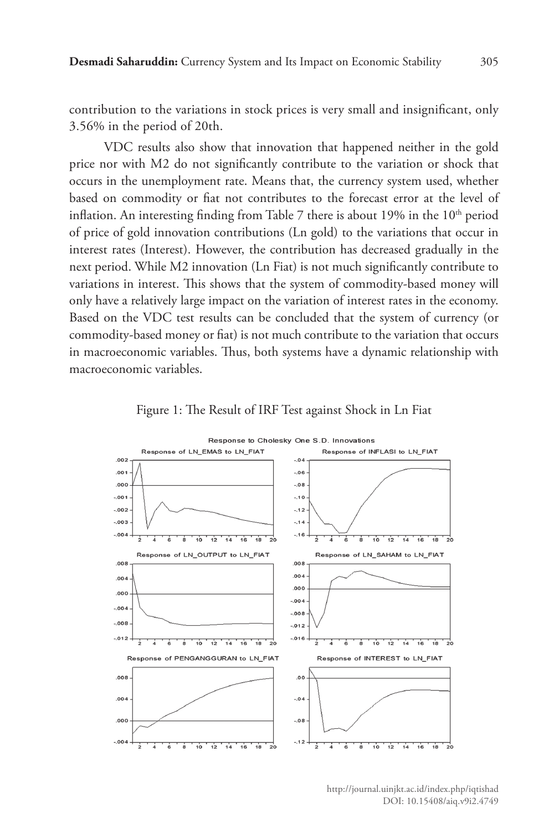contribution to the variations in stock prices is very small and insignificant, only 3.56% in the period of 20th.

VDC results also show that innovation that happened neither in the gold price nor with M2 do not significantly contribute to the variation or shock that occurs in the unemployment rate. Means that, the currency system used, whether based on commodity or fiat not contributes to the forecast error at the level of inflation. An interesting finding from Table 7 there is about  $19\%$  in the  $10<sup>th</sup>$  period of price of gold innovation contributions (Ln gold) to the variations that occur in interest rates (Interest). However, the contribution has decreased gradually in the next period. While M2 innovation (Ln Fiat) is not much significantly contribute to variations in interest. This shows that the system of commodity-based money will only have a relatively large impact on the variation of interest rates in the economy. Based on the VDC test results can be concluded that the system of currency (or commodity-based money or fiat) is not much contribute to the variation that occurs in macroeconomic variables. Thus, both systems have a dynamic relationship with macroeconomic variables.



Figure 1: The Result of IRF Test against Shock in Ln Fiat

http://journal.uinjkt.ac.id/index.php/iqtishad DOI: 10.15408/aiq.v9i2.4749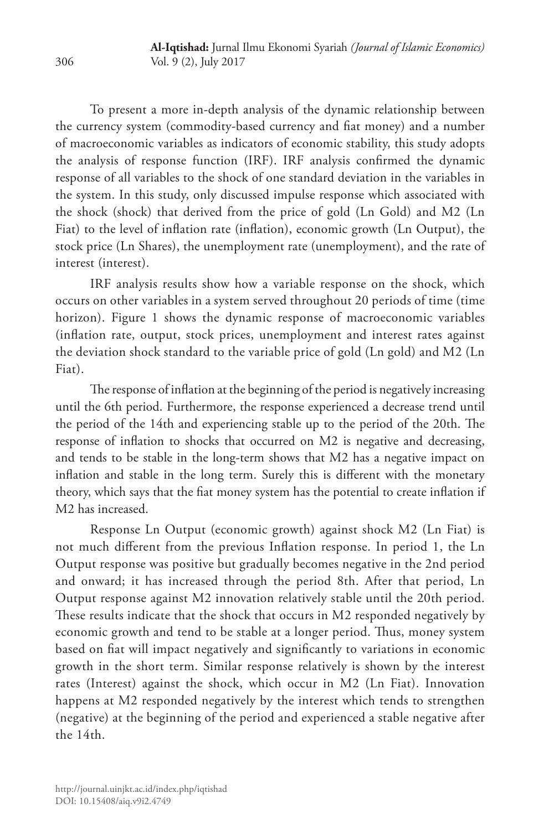To present a more in-depth analysis of the dynamic relationship between the currency system (commodity-based currency and fiat money) and a number of macroeconomic variables as indicators of economic stability, this study adopts the analysis of response function (IRF). IRF analysis confirmed the dynamic response of all variables to the shock of one standard deviation in the variables in the system. In this study, only discussed impulse response which associated with the shock (shock) that derived from the price of gold (Ln Gold) and M2 (Ln Fiat) to the level of inflation rate (inflation), economic growth (Ln Output), the stock price (Ln Shares), the unemployment rate (unemployment), and the rate of interest (interest).

IRF analysis results show how a variable response on the shock, which occurs on other variables in a system served throughout 20 periods of time (time horizon). Figure 1 shows the dynamic response of macroeconomic variables (inflation rate, output, stock prices, unemployment and interest rates against the deviation shock standard to the variable price of gold (Ln gold) and M2 (Ln Fiat).

The response of inflation at the beginning of the period is negatively increasing until the 6th period. Furthermore, the response experienced a decrease trend until the period of the 14th and experiencing stable up to the period of the 20th. The response of inflation to shocks that occurred on M2 is negative and decreasing, and tends to be stable in the long-term shows that M2 has a negative impact on inflation and stable in the long term. Surely this is different with the monetary theory, which says that the fiat money system has the potential to create inflation if M2 has increased.

Response Ln Output (economic growth) against shock M2 (Ln Fiat) is not much different from the previous Inflation response. In period 1, the Ln Output response was positive but gradually becomes negative in the 2nd period and onward; it has increased through the period 8th. After that period, Ln Output response against M2 innovation relatively stable until the 20th period. These results indicate that the shock that occurs in M2 responded negatively by economic growth and tend to be stable at a longer period. Thus, money system based on fiat will impact negatively and significantly to variations in economic growth in the short term. Similar response relatively is shown by the interest rates (Interest) against the shock, which occur in M2 (Ln Fiat). Innovation happens at M2 responded negatively by the interest which tends to strengthen (negative) at the beginning of the period and experienced a stable negative after the 14th.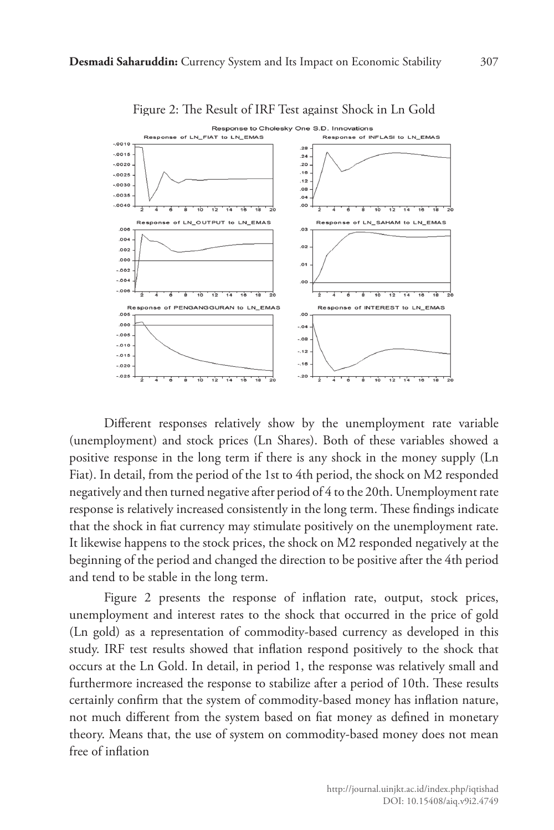

Figure 2: The Result of IRF Test against Shock in Ln Gold

Different responses relatively show by the unemployment rate variable (unemployment) and stock prices (Ln Shares). Both of these variables showed a positive response in the long term if there is any shock in the money supply (Ln Fiat). In detail, from the period of the 1st to 4th period, the shock on M2 responded negatively and then turned negative after period of 4 to the 20th. Unemployment rate response is relatively increased consistently in the long term. These findings indicate that the shock in fiat currency may stimulate positively on the unemployment rate. It likewise happens to the stock prices, the shock on M2 responded negatively at the beginning of the period and changed the direction to be positive after the 4th period and tend to be stable in the long term.

Figure 2 presents the response of inflation rate, output, stock prices, unemployment and interest rates to the shock that occurred in the price of gold (Ln gold) as a representation of commodity-based currency as developed in this study. IRF test results showed that inflation respond positively to the shock that occurs at the Ln Gold. In detail, in period 1, the response was relatively small and furthermore increased the response to stabilize after a period of 10th. These results certainly confirm that the system of commodity-based money has inflation nature, not much different from the system based on fiat money as defined in monetary theory. Means that, the use of system on commodity-based money does not mean free of inflation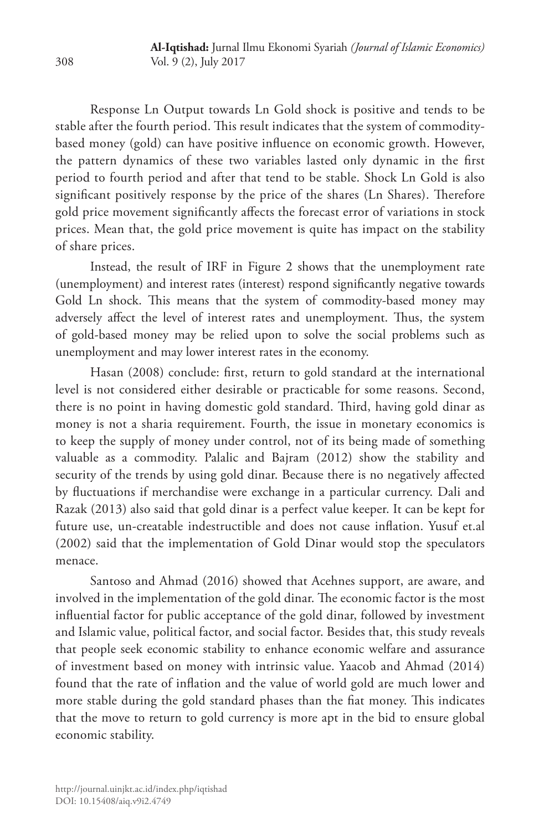Response Ln Output towards Ln Gold shock is positive and tends to be stable after the fourth period. This result indicates that the system of commoditybased money (gold) can have positive influence on economic growth. However, the pattern dynamics of these two variables lasted only dynamic in the first period to fourth period and after that tend to be stable. Shock Ln Gold is also significant positively response by the price of the shares (Ln Shares). Therefore gold price movement significantly affects the forecast error of variations in stock prices. Mean that, the gold price movement is quite has impact on the stability of share prices.

Instead, the result of IRF in Figure 2 shows that the unemployment rate (unemployment) and interest rates (interest) respond significantly negative towards Gold Ln shock. This means that the system of commodity-based money may adversely affect the level of interest rates and unemployment. Thus, the system of gold-based money may be relied upon to solve the social problems such as unemployment and may lower interest rates in the economy.

Hasan (2008) conclude: first, return to gold standard at the international level is not considered either desirable or practicable for some reasons. Second, there is no point in having domestic gold standard. Third, having gold dinar as money is not a sharia requirement. Fourth, the issue in monetary economics is to keep the supply of money under control, not of its being made of something valuable as a commodity. Palalic and Bajram (2012) show the stability and security of the trends by using gold dinar. Because there is no negatively affected by fluctuations if merchandise were exchange in a particular currency. Dali and Razak (2013) also said that gold dinar is a perfect value keeper. It can be kept for future use, un-creatable indestructible and does not cause inflation. Yusuf et.al (2002) said that the implementation of Gold Dinar would stop the speculators menace.

Santoso and Ahmad (2016) showed that Acehnes support, are aware, and involved in the implementation of the gold dinar. The economic factor is the most influential factor for public acceptance of the gold dinar, followed by investment and Islamic value, political factor, and social factor. Besides that, this study reveals that people seek economic stability to enhance economic welfare and assurance of investment based on money with intrinsic value. Yaacob and Ahmad (2014) found that the rate of inflation and the value of world gold are much lower and more stable during the gold standard phases than the fiat money. This indicates that the move to return to gold currency is more apt in the bid to ensure global economic stability.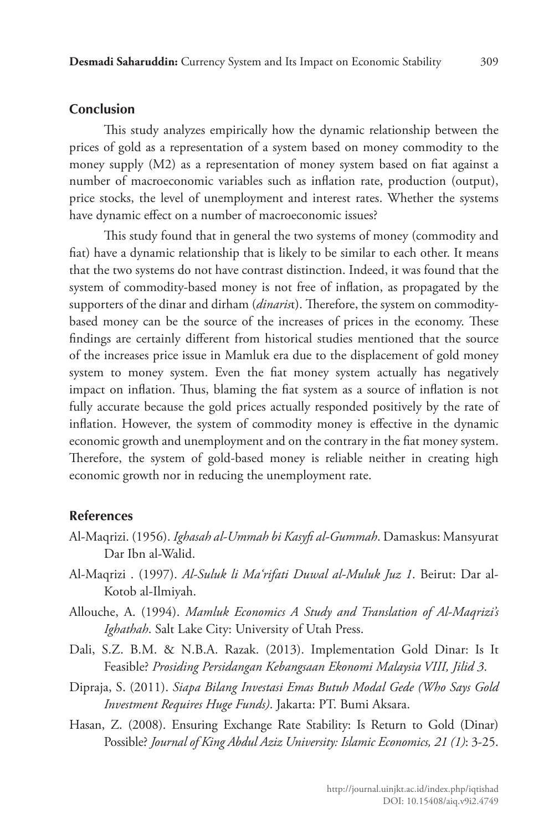#### **Conclusion**

This study analyzes empirically how the dynamic relationship between the prices of gold as a representation of a system based on money commodity to the money supply (M2) as a representation of money system based on fiat against a number of macroeconomic variables such as inflation rate, production (output), price stocks, the level of unemployment and interest rates. Whether the systems have dynamic effect on a number of macroeconomic issues?

This study found that in general the two systems of money (commodity and fiat) have a dynamic relationship that is likely to be similar to each other. It means that the two systems do not have contrast distinction. Indeed, it was found that the system of commodity-based money is not free of inflation, as propagated by the supporters of the dinar and dirham (*dinaris*t). Therefore, the system on commoditybased money can be the source of the increases of prices in the economy. These findings are certainly different from historical studies mentioned that the source of the increases price issue in Mamluk era due to the displacement of gold money system to money system. Even the fiat money system actually has negatively impact on inflation. Thus, blaming the fiat system as a source of inflation is not fully accurate because the gold prices actually responded positively by the rate of inflation. However, the system of commodity money is effective in the dynamic economic growth and unemployment and on the contrary in the fiat money system. Therefore, the system of gold-based money is reliable neither in creating high economic growth nor in reducing the unemployment rate.

#### **References**

- Al-Maqrizi. (1956). *Ighasah al-Ummah bi Kasyfi al-Gummah*. Damaskus: Mansyurat Dar Ibn al-Walid.
- Al-Maqrizi . (1997). *Al-Suluk li Ma'rifati Duwal al-Muluk Juz 1*. Beirut: Dar al-Kotob al-Ilmiyah.
- Allouche, A. (1994). *Mamluk Economics A Study and Translation of Al-Maqrizi's Ighathah*. Salt Lake City: University of Utah Press.
- Dali, S.Z. B.M. & N.B.A. Razak. (2013). Implementation Gold Dinar: Is It Feasible? *Prosiding Persidangan Kebangsaan Ekonomi Malaysia VIII, Jilid 3*.
- Dipraja, S. (2011). *Siapa Bilang Investasi Emas Butuh Modal Gede (Who Says Gold Investment Requires Huge Funds)*. Jakarta: PT. Bumi Aksara.
- Hasan, Z. (2008). Ensuring Exchange Rate Stability: Is Return to Gold (Dinar) Possible? *Journal of King Abdul Aziz University: Islamic Economics, 21 (1)*: 3-25.